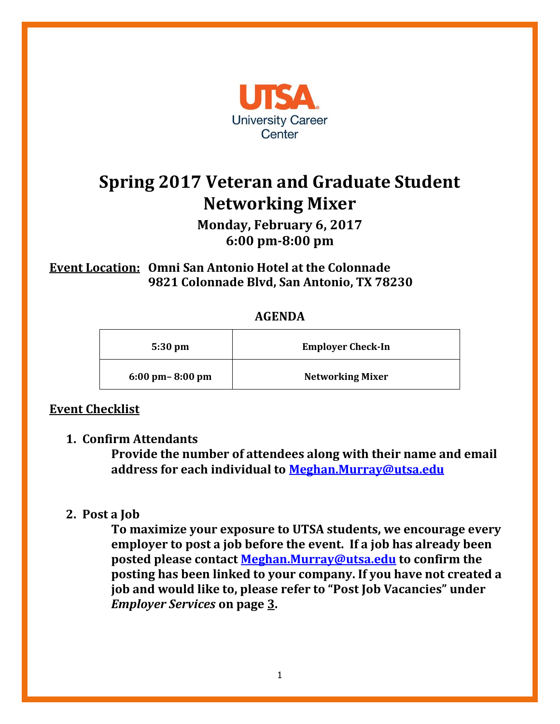

# **Spring 2017 Veteran and Graduate Student Networking Mixer**

**Monday, February 6, 2017 6:00 pm-8:00 pm**

**Event Location: Omni San Antonio Hotel at the Colonnade 9821 Colonnade Blvd, San Antonio, TX 78230**

#### **AGENDA**

| $5:30 \text{ pm}$                   | <b>Employer Check-In</b> |
|-------------------------------------|--------------------------|
| $6:00 \text{ pm} - 8:00 \text{ pm}$ | <b>Networking Mixer</b>  |

## **Event Checklist**

#### **1. Confirm Attendants**

**Provide the number of attendees along with their name and email address for each individual to [Meghan.Murray@utsa.edu](mailto:Meghan.Murray@utsa.edu?subject=Spring%202016%20Veteran)**

#### **2. Post a Job**

**To maximize your exposure to UTSA students, we encourage every employer to post a job before the event. If a job has already been posted please contact [Meghan.Murray@utsa.edu](mailto:Meghan.Murray@utsa.edu?subject=Spring%202016%20Veteran) to confirm the posting has been linked to your company. If you have not created a job and would like to, please refer to "Post Job Vacancies" under**  *Employer Services* **on page 3.**